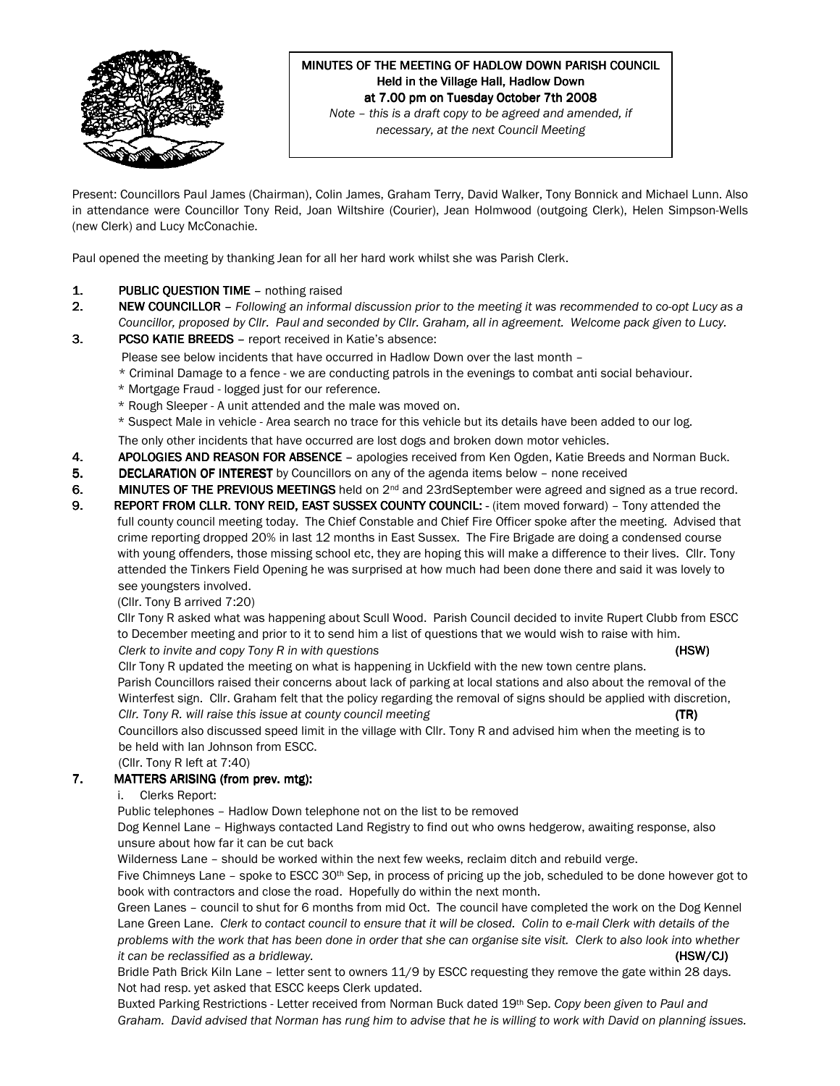

#### MINUTES OF THE MEETING OF HADLOW DOWN PARISH COUNCIL Held in the Village Hall, Hadlow Down at 7.00 pm on Tuesday October 7th 2008 Note – this is a draft copy to be agreed and amended, if

necessary, at the next Council Meeting

Present: Councillors Paul James (Chairman), Colin James, Graham Terry, David Walker, Tony Bonnick and Michael Lunn. Also in attendance were Councillor Tony Reid, Joan Wiltshire (Courier), Jean Holmwood (outgoing Clerk), Helen Simpson-Wells (new Clerk) and Lucy McConachie.

Paul opened the meeting by thanking Jean for all her hard work whilst she was Parish Clerk.

- 1. PUBLIC QUESTION TIME nothing raised
- 2. NEW COUNCILLOR Following an informal discussion prior to the meeting it was recommended to co-opt Lucy as a Councillor, proposed by Cllr. Paul and seconded by Cllr. Graham, all in agreement. Welcome pack given to Lucy.
- 3. PCSO KATIE BREEDS report received in Katie's absence:
	- Please see below incidents that have occurred in Hadlow Down over the last month –
	- \* Criminal Damage to a fence we are conducting patrols in the evenings to combat anti social behaviour.
	- \* Mortgage Fraud logged just for our reference.
	- \* Rough Sleeper A unit attended and the male was moved on.
	- \* Suspect Male in vehicle Area search no trace for this vehicle but its details have been added to our log.

The only other incidents that have occurred are lost dogs and broken down motor vehicles.

- 4. APOLOGIES AND REASON FOR ABSENCE apologies received from Ken Ogden, Katie Breeds and Norman Buck.
- 5. DECLARATION OF INTEREST by Councillors on any of the agenda items below none received

6. MINUTES OF THE PREVIOUS MEETINGS held on  $2<sup>nd</sup>$  and 23rdSeptember were agreed and signed as a true record.

9. REPORT FROM CLLR. TONY REID, EAST SUSSEX COUNTY COUNCIL: - (item moved forward) - Tony attended the full county council meeting today. The Chief Constable and Chief Fire Officer spoke after the meeting. Advised that crime reporting dropped 20% in last 12 months in East Sussex. The Fire Brigade are doing a condensed course with young offenders, those missing school etc, they are hoping this will make a difference to their lives. Cllr. Tony attended the Tinkers Field Opening he was surprised at how much had been done there and said it was lovely to see youngsters involved.

(Cllr. Tony B arrived 7:20)

 CllrTony R asked what was happening about Scull Wood. Parish Council decided to invite Rupert Clubb from ESCC to December meeting and prior to it to send him a list of questions that we would wish to raise with him. Clerk to invite and copy Tony R in with questions (HSW) and the control of the control of the control of the control of the control of the control of the control of the control of the control of the control of the control

 Cllr Tony R updated the meeting on what is happening in Uckfield with the new town centre plans. Parish Councillors raised their concerns about lack of parking at local stations and also about the removal of the Winterfest sign. Cllr. Graham felt that the policy regarding the removal of signs should be applied with discretion, Cllr. Tony R. will raise this issue at county council meeting

 Councillors also discussed speed limit in the village with Cllr. Tony R and advised him when the meeting is to be held with Ian Johnson from ESCC.

(Cllr. Tony R left at 7:40)

### 7. MATTERS ARISING (from prev. mtg):

### i. Clerks Report:

Public telephones – Hadlow Down telephone not on the list to be removed

Dog Kennel Lane – Highways contacted Land Registry to find out who owns hedgerow, awaiting response, also unsure about how far it can be cut back

Wilderness Lane – should be worked within the next few weeks, reclaim ditch and rebuild verge.

Five Chimneys Lane - spoke to ESCC 30<sup>th</sup> Sep, in process of pricing up the job, scheduled to be done however got to book with contractors and close the road. Hopefully do within the next month.

Green Lanes – council to shut for 6 months from mid Oct. The council have completed the work on the Dog Kennel Lane Green Lane. Clerk to contact council to ensure that it will be closed. Colin to e-mail Clerk with details of the problems with the work that has been done in order that she can organise site visit. Clerk to also look into whether it can be reclassified as a bridleway. (HSW/CJ) (HSW/CJ)

Bridle Path Brick Kiln Lane - letter sent to owners 11/9 by ESCC requesting they remove the gate within 28 days. Not had resp. yet asked that ESCC keeps Clerk updated.

Buxted Parking Restrictions - Letter received from Norman Buck dated 19th Sep. Copy been given to Paul and Graham. David advised that Norman has rung him to advise that he is willing to work with David on planning issues.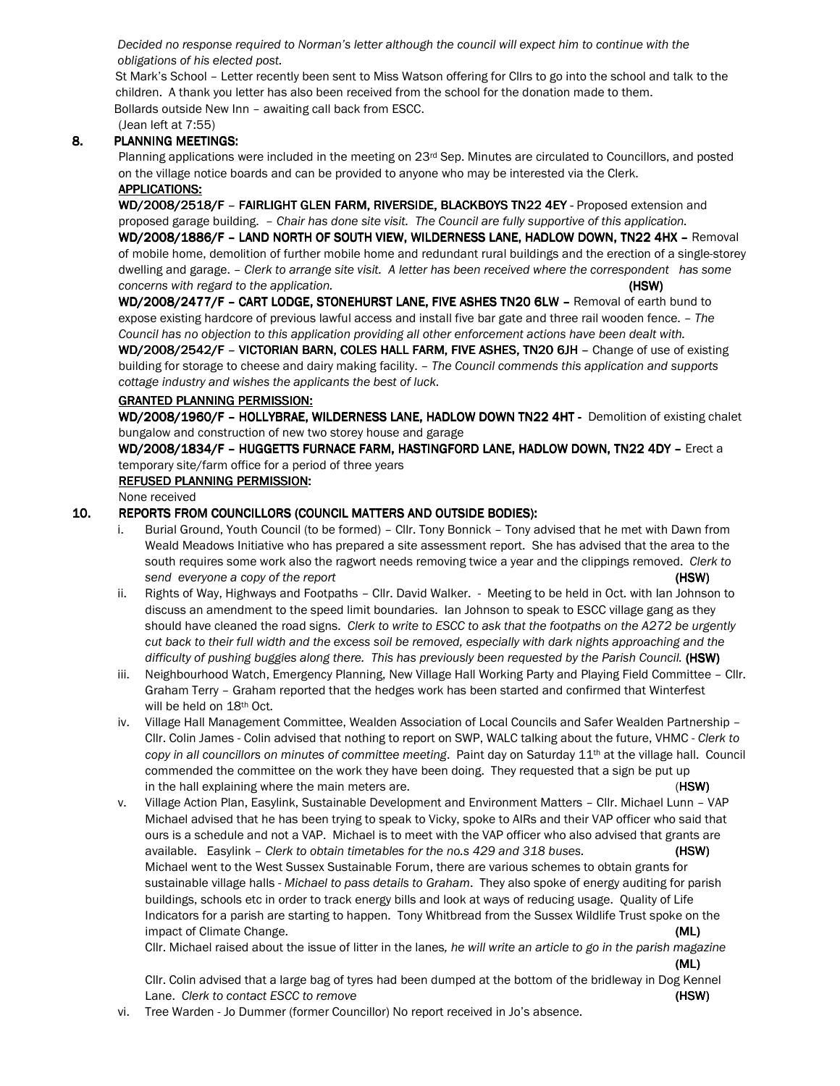Decided no response required to Norman's letter although the council will expect him to continue with the obligations of his elected post.

St Mark's School – Letter recently been sent to Miss Watson offering for Cllrs to go into the school and talk to the children. A thank you letter has also been received from the school for the donation made to them. Bollards outside New Inn – awaiting call back from ESCC.

(Jean left at 7:55)

## 8. PLANNING MEETINGS:

Planning applications were included in the meeting on 23rd Sep. Minutes are circulated to Councillors, and posted on the village notice boards and can be provided to anyone who may be interested via the Clerk. APPLICATIONS:

WD/2008/2518/F - FAIRLIGHT GLEN FARM, RIVERSIDE, BLACKBOYS TN22 4EY - Proposed extension and proposed garage building. – Chair has done site visit. The Council are fully supportive of this application. WD/2008/1886/F - LAND NORTH OF SOUTH VIEW, WILDERNESS LANE, HADLOW DOWN, TN22 4HX - Removal

of mobile home, demolition of further mobile home and redundant rural buildings and the erection of a single-storey dwelling and garage. – Clerk to arrange site visit. A letter has been received where the correspondent has some concerns with regard to the application.  $(HSW)$ 

WD/2008/2477/F - CART LODGE, STONEHURST LANE, FIVE ASHES TN20 6LW - Removal of earth bund to expose existing hardcore of previous lawful access and install five bar gate and three rail wooden fence. – The Council has no objection to this application providing all other enforcement actions have been dealt with.

WD/2008/2542/F - VICTORIAN BARN, COLES HALL FARM, FIVE ASHES, TN20 6JH - Change of use of existing building for storage to cheese and dairy making facility. - The Council commends this application and supports cottage industry and wishes the applicants the best of luck.

#### GRANTED PLANNING PERMISSION:

WD/2008/1960/F - HOLLYBRAE, WILDERNESS LANE, HADLOW DOWN TN22 4HT - Demolition of existing chalet bungalow and construction of new two storey house and garage

WD/2008/1834/F - HUGGETTS FURNACE FARM, HASTINGFORD LANE, HADLOW DOWN, TN22 4DY - Erect a temporary site/farm office for a period of three years

#### REFUSED PLANNING PERMISSION:

None received

#### 10. REPORTS FROM COUNCILLORS (COUNCIL MATTERS AND OUTSIDE BODIES):

- i. Burial Ground, Youth Council (to be formed) Cllr. Tony Bonnick Tony advised that he met with Dawn from Weald Meadows Initiative who has prepared a site assessment report. She has advised that the area to the south requires some work also the ragwort needs removing twice a year and the clippings removed. Clerk to send everyone a copy of the report  $(HSW)$
- ii. Rights of Way, Highways and Footpaths Cllr. David Walker. Meeting to be held in Oct. with Ian Johnson to discuss an amendment to the speed limit boundaries. Ian Johnson to speak to ESCC village gang as they should have cleaned the road signs. Clerk to write to ESCC to ask that the footpaths on the A272 be urgently cut back to their full width and the excess soil be removed, especially with dark nights approaching and the difficulty of pushing buggies along there. This has previously been requested by the Parish Council. (HSW)
- iii. Neighbourhood Watch, Emergency Planning, New Village Hall Working Party and Playing Field Committee Cllr. Graham Terry – Graham reported that the hedges work has been started and confirmed that Winterfest will be held on 18th Oct.
- iv. Village Hall Management Committee, Wealden Association of Local Councils and Safer Wealden Partnership Cllr. Colin James - Colin advised that nothing to report on SWP, WALC talking about the future, VHMC - Clerk to copy in all councillors on minutes of committee meeting. Paint day on Saturday 11<sup>th</sup> at the village hall. Council commended the committee on the work they have been doing. They requested that a sign be put up in the hall explaining where the main meters are. (HSW)
- v. Village Action Plan, Easylink, Sustainable Development and Environment Matters Cllr. Michael Lunn VAP Michael advised that he has been trying to speak to Vicky, spoke to AIRs and their VAP officer who said that ours is a schedule and not a VAP. Michael is to meet with the VAP officer who also advised that grants are available. Easylink - Clerk to obtain timetables for the no.s 429 and 318 buses. (HSW) Michael went to the West Sussex Sustainable Forum, there are various schemes to obtain grants for sustainable village halls - Michael to pass details to Graham. They also spoke of energy auditing for parish buildings, schools etc in order to track energy bills and look at ways of reducing usage. Quality of Life Indicators for a parish are starting to happen. Tony Whitbread from the Sussex Wildlife Trust spoke on the impact of Climate Change. (ML)

Cllr. Michael raised about the issue of litter in the lanes, he will write an article to go in the parish magazine (ML)

Cllr. Colin advised that a large bag of tyres had been dumped at the bottom of the bridleway in Dog Kennel Lane. Clerk to contact ESCC to remove  $(HSW)$ 

vi. Tree Warden - Jo Dummer (former Councillor) No report received in Jo's absence.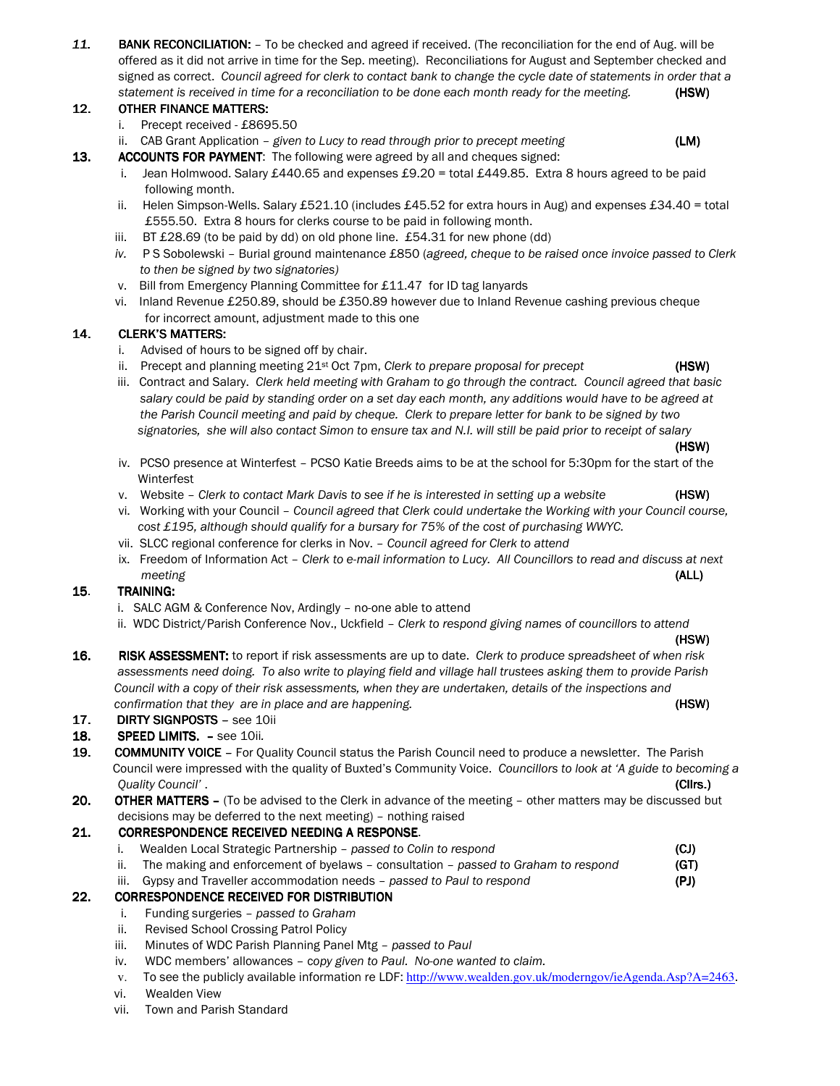11. BANK RECONCILIATION: - To be checked and agreed if received. (The reconciliation for the end of Aug. will be offered as it did not arrive in time for the Sep. meeting). Reconciliations for August and September checked and signed as correct. Council agreed for clerk to contact bank to change the cycle date of statements in order that a statement is received in time for a reconciliation to be done each month ready for the meeting. (HSW)

# 12. OTHER FINANCE MATTERS:

- i. Precept received £8695.50
- ii. CAB Grant Application given to Lucy to read through prior to precept meeting  $(LM)$

- 13. ACCOUNTS FOR PAYMENT: The following were agreed by all and cheques signed:
	- i. Jean Holmwood. Salary £440.65 and expenses £9.20 = total £449.85. Extra 8 hours agreed to be paid following month.
	- ii. Helen Simpson-Wells. Salary £521.10 (includes £45.52 for extra hours in Aug) and expenses £34.40 = total £555.50. Extra 8 hours for clerks course to be paid in following month.
	- iii. BT  $£28.69$  (to be paid by dd) on old phone line.  $£54.31$  for new phone (dd)
	- iv. P S Sobolewski Burial ground maintenance £850 (agreed, cheque to be raised once invoice passed to Clerk to then be signed by two signatories)
	- v. Bill from Emergency Planning Committee for £11.47 for ID tag lanyards
	- vi. Inland Revenue £250.89, should be £350.89 however due to Inland Revenue cashing previous cheque for incorrect amount, adjustment made to this one

### 14. CLERK'S MATTERS:

- i. Advised of hours to be signed off by chair.
- ii. Precept and planning meeting  $21^{st}$  Oct 7pm, *Clerk to prepare proposal for precept* (HSW)
- iii. Contract and Salary. Clerk held meeting with Graham to go through the contract. Council agreed that basic salary could be paid by standing order on a set day each month, any additions would have to be agreed at the Parish Council meeting and paid by cheque. Clerk to prepare letter for bank to be signed by two signatories, she will also contact Simon to ensure tax and N.I. will still be paid prior to receipt of salary
- (HSW) iv. PCSO presence at Winterfest – PCSO Katie Breeds aims to be at the school for 5:30pm for the start of the Winterfest
	- v. Website Clerk to contact Mark Davis to see if he is interested in setting up a website (HSW)
	- vi. Working with your Council Council agreed that Clerk could undertake the Working with your Council course, cost £195, although should qualify for a bursary for 75% of the cost of purchasing WWYC.
	- vii. SLCC regional conference for clerks in Nov. Council agreed for Clerk to attend
	- ix. Freedom of Information Act Clerk to e-mail information to Lucy. All Councillors to read and discuss at next meeting (ALL)

### 15. TRAINING:

- i. SALC AGM & Conference Nov, Ardingly no-one able to attend
- ii. WDC District/Parish Conference Nov., Uckfield Clerk to respond giving names of councillors to attend

#### (HSW)

16. RISK ASSESSMENT: to report if risk assessments are up to date. Clerk to produce spreadsheet of when risk assessments need doing. To also write to playing field and village hall trustees asking them to provide Parish Council with a copy of their risk assessments, when they are undertaken, details of the inspections and confirmation that they are in place and are happening. The same state of the state of the state (HSW)

### 17. DIRTY SIGNPOSTS - see 10ii

- 18. SPEED LIMITS. see 10ii.
- 19. COMMUNITY VOICE For Quality Council status the Parish Council need to produce a newsletter. The Parish Council were impressed with the quality of Buxted's Community Voice. Councillors to look at 'A guide to becoming a Quality Council' . (Cllrs.) (Cllrs.) (Cllrs.)
- 20. OTHER MATTERS (To be advised to the Clerk in advance of the meeting other matters may be discussed but decisions may be deferred to the next meeting) – nothing raised

### 21. CORRESPONDENCE RECEIVED NEEDING A RESPONSE.

- i. Wealden Local Strategic Partnership passed to Colin to respond (CJ)
- ii. The making and enforcement of byelaws consultation passed to Graham to respond  $(GT)$
- iii. Gypsy and Traveller accommodation needs passed to Paul to respond (PJ)

## 22. CORRESPONDENCE RECEIVED FOR DISTRIBUTION

- i. Funding surgeries passed to Graham
- ii. Revised School Crossing Patrol Policy
- iii. Minutes of WDC Parish Planning Panel Mtg passed to Paul
- iv. WDC members' allowances copy given to Paul. No-one wanted to claim.
- v. To see the publicly available information re LDF: http://www.wealden.gov.uk/moderngov/ieAgenda.Asp?A=2463.
- vi. Wealden View
- vii. Town and Parish Standard